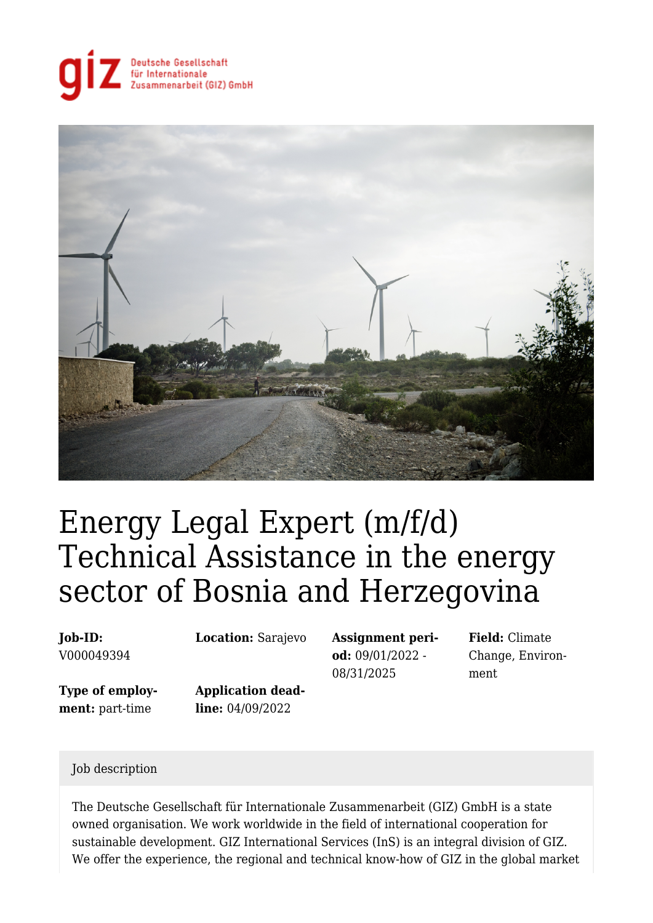



# Energy Legal Expert (m/f/d) Technical Assistance in the energy sector of Bosnia and Herzegovina

#### **Job-ID:** V000049394

**Location:** Sarajevo **Assignment peri-**

**Type of employment:** part-time

**Application deadline:** 04/09/2022

**od:** 09/01/2022 - 08/31/2025

**Field:** Climate Change, Environment

#### Job description

The Deutsche Gesellschaft für Internationale Zusammenarbeit (GIZ) GmbH is a state owned organisation. We work worldwide in the field of international cooperation for sustainable development. GIZ International Services (InS) is an integral division of GIZ. We offer the experience, the regional and technical know-how of GIZ in the global market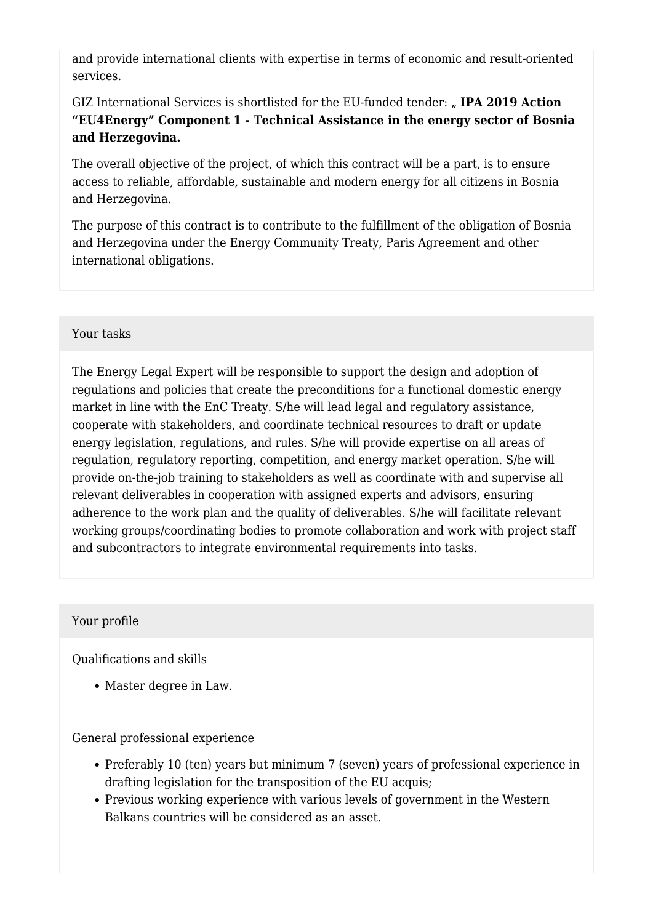and provide international clients with expertise in terms of economic and result-oriented services.

GIZ International Services is shortlisted for the EU-funded tender: "IPA 2019 Action **"EU4Energy" Component 1 - Technical Assistance in the energy sector of Bosnia and Herzegovina.**

The overall objective of the project, of which this contract will be a part, is to ensure access to reliable, affordable, sustainable and modern energy for all citizens in Bosnia and Herzegovina.

The purpose of this contract is to contribute to the fulfillment of the obligation of Bosnia and Herzegovina under the Energy Community Treaty, Paris Agreement and other international obligations.

#### Your tasks

The Energy Legal Expert will be responsible to support the design and adoption of regulations and policies that create the preconditions for a functional domestic energy market in line with the EnC Treaty. S/he will lead legal and regulatory assistance, cooperate with stakeholders, and coordinate technical resources to draft or update energy legislation, regulations, and rules. S/he will provide expertise on all areas of regulation, regulatory reporting, competition, and energy market operation. S/he will provide on-the-job training to stakeholders as well as coordinate with and supervise all relevant deliverables in cooperation with assigned experts and advisors, ensuring adherence to the work plan and the quality of deliverables. S/he will facilitate relevant working groups/coordinating bodies to promote collaboration and work with project staff and subcontractors to integrate environmental requirements into tasks.

## Your profile

Qualifications and skills

Master degree in Law.

General professional experience

- Preferably 10 (ten) years but minimum 7 (seven) years of professional experience in drafting legislation for the transposition of the EU acquis;
- Previous working experience with various levels of government in the Western Balkans countries will be considered as an asset.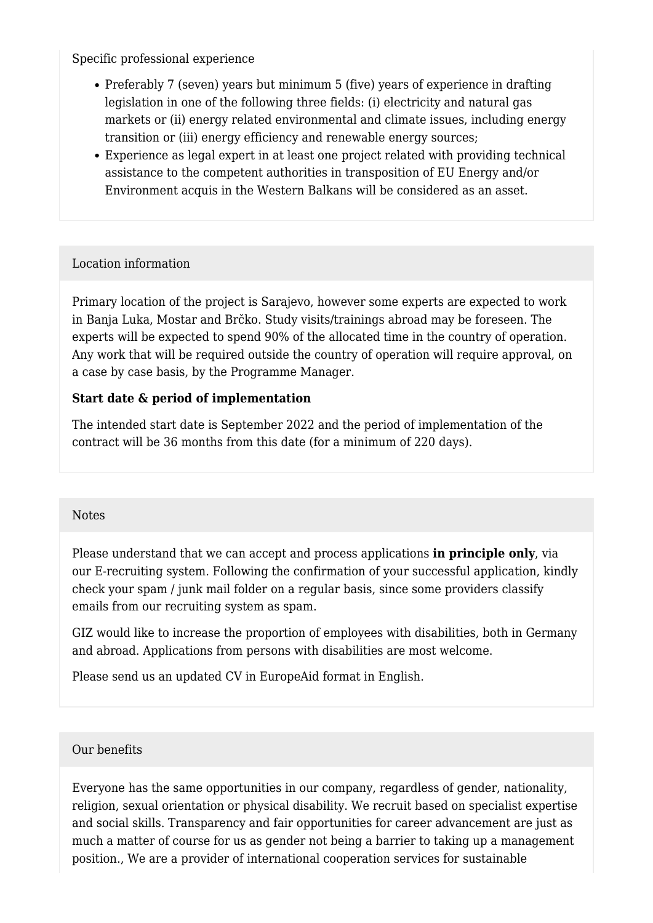Specific professional experience

- Preferably 7 (seven) years but minimum 5 (five) years of experience in drafting legislation in one of the following three fields: (i) electricity and natural gas markets or (ii) energy related environmental and climate issues, including energy transition or (iii) energy efficiency and renewable energy sources;
- Experience as legal expert in at least one project related with providing technical assistance to the competent authorities in transposition of EU Energy and/or Environment acquis in the Western Balkans will be considered as an asset.

## Location information

Primary location of the project is Sarajevo, however some experts are expected to work in Banja Luka, Mostar and Brčko. Study visits/trainings abroad may be foreseen. The experts will be expected to spend 90% of the allocated time in the country of operation. Any work that will be required outside the country of operation will require approval, on a case by case basis, by the Programme Manager.

## **Start date & period of implementation**

The intended start date is September 2022 and the period of implementation of the contract will be 36 months from this date (for a minimum of 220 days).

## **Notes**

Please understand that we can accept and process applications **in principle only**, via our E-recruiting system. Following the confirmation of your successful application, kindly check your spam / junk mail folder on a regular basis, since some providers classify emails from our recruiting system as spam.

GIZ would like to increase the proportion of employees with disabilities, both in Germany and abroad. Applications from persons with disabilities are most welcome.

Please send us an updated CV in EuropeAid format in English.

## Our benefits

Everyone has the same opportunities in our company, regardless of gender, nationality, religion, sexual orientation or physical disability. We recruit based on specialist expertise and social skills. Transparency and fair opportunities for career advancement are just as much a matter of course for us as gender not being a barrier to taking up a management position., We are a provider of international cooperation services for sustainable